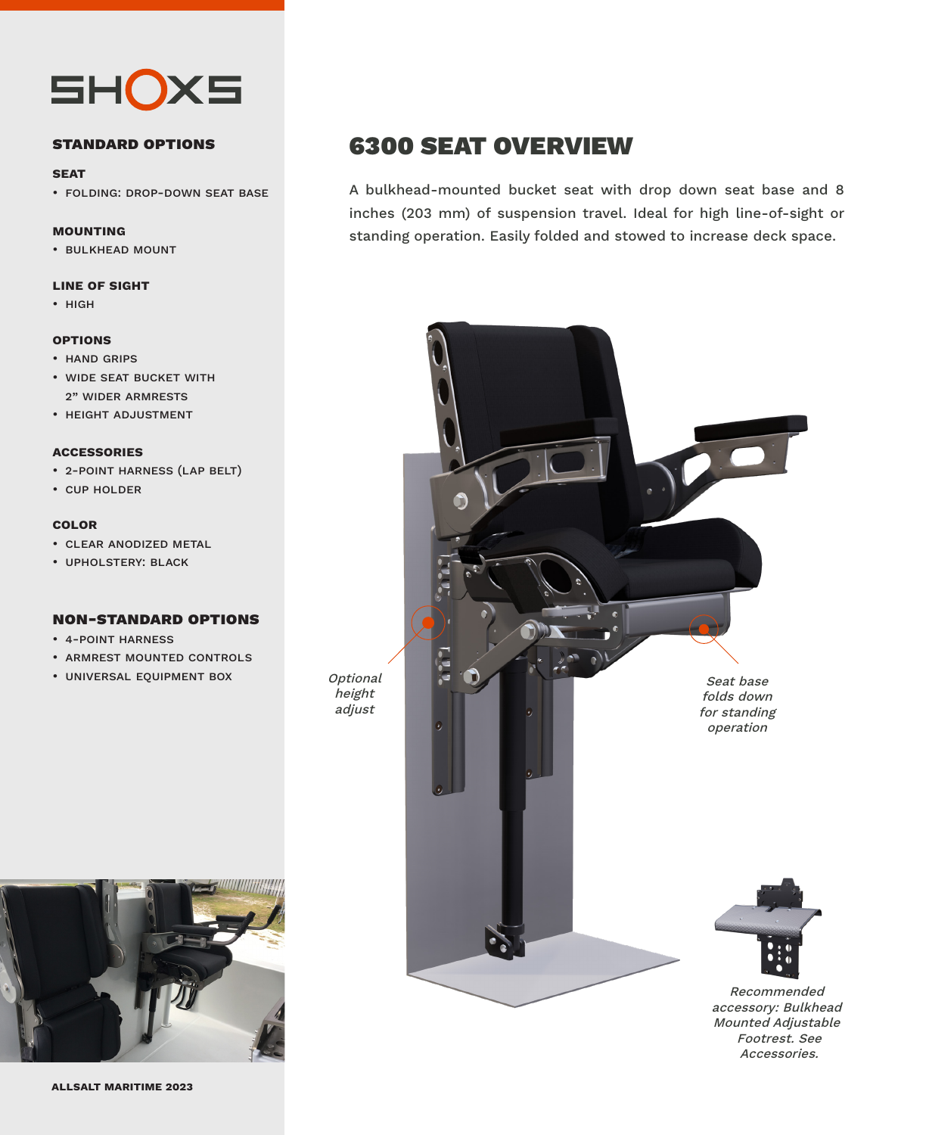

#### **standard options**

#### **seat**

• folding: drop-down seat base

#### **mounting**

• bulkhead mount

#### **line of sight**

• high

#### **options**

- hand grips
- wide seat bucket with 2" wider armrests
- height adjustment

#### **accessories**

- 2-point harness (lap belt)
- cup holder

#### **color**

- clear anodized metal
- upholstery: black

#### **non-standard options**

- 4-point harness
- armrest mounted controls
- universal equipment box



### 6300 SEAT OVERVIEW

A bulkhead-mounted bucket seat with drop down seat base and 8 inches (203 mm) of suspension travel. Ideal for high line-of-sight or standing operation. Easily folded and stowed to increase deck space.



accessory: Bulkhead Mounted Adjustable Footrest. See Accessories.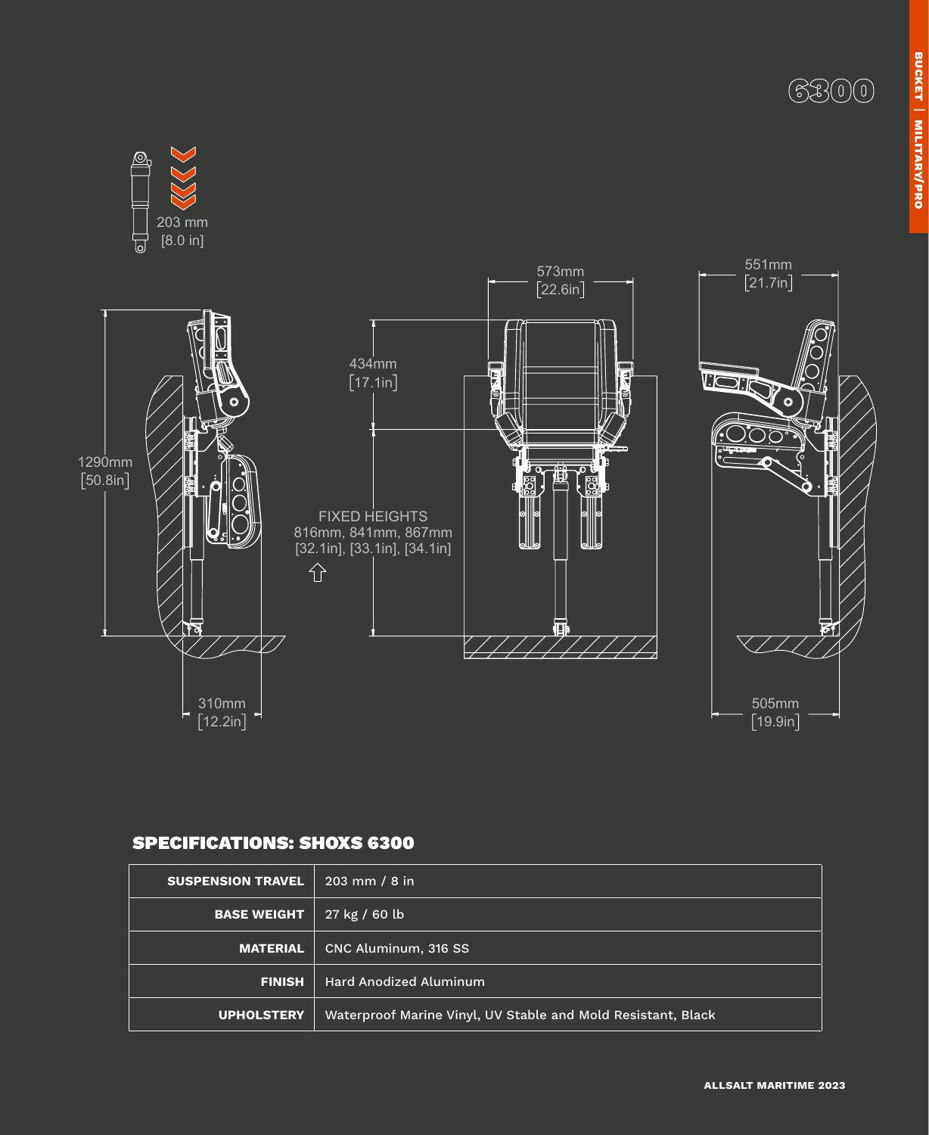



### SPECIFICATIONS: SHOXS 6300

| <b>SUSPENSION TRAVEL</b> | $203 \, \text{mm}$ / 8 in                                    |
|--------------------------|--------------------------------------------------------------|
| <b>BASE WEIGHT</b>       | 27 kg / 60 lb                                                |
| <b>MATERIAL</b>          | CNC Aluminum, 316 SS                                         |
| <b>FINISH</b>            | <b>Hard Anodized Aluminum</b>                                |
| <b>UPHOLSTERY</b>        | Waterproof Marine Vinyl, UV Stable and Mold Resistant, Black |